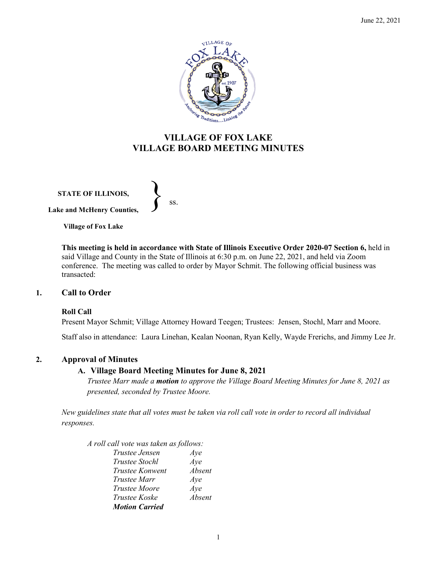

# **VILLAGE OF FOX LAKE VILLAGE BOARD MEETING MINUTES**

**STATE OF ILLINOIS, Lake and McHenry Counties,**   $\left\{\right\}$  ss.

**Village of Fox Lake**

**This meeting is held in accordance with State of Illinois Executive Order 2020-07 Section 6,** held in said Village and County in the State of Illinois at 6:30 p.m. on June 22, 2021, and held via Zoom conference. The meeting was called to order by Mayor Schmit. The following official business was transacted:

# **1. Call to Order**

# **Roll Call**

Present Mayor Schmit; Village Attorney Howard Teegen; Trustees: Jensen, Stochl, Marr and Moore.

Staff also in attendance: Laura Linehan, Kealan Noonan, Ryan Kelly, Wayde Frerichs, and Jimmy Lee Jr.

# **2. Approval of Minutes**

# **A. Village Board Meeting Minutes for June 8, 2021**

*Trustee Marr made a motion to approve the Village Board Meeting Minutes for June 8, 2021 as presented, seconded by Trustee Moore.* 

*New guidelines state that all votes must be taken via roll call vote in order to record all individual responses.* 

*A roll call vote was taken as follows:* 

| Trustee Jensen        | Aye    |
|-----------------------|--------|
| <b>Trustee Stochl</b> | Aye    |
| Trustee Konwent       | Absent |
| Trustee Marr          | Aye    |
| <i>Trustee Moore</i>  | Aye    |
| <i>Trustee Koske</i>  | Absent |
| <b>Motion Carried</b> |        |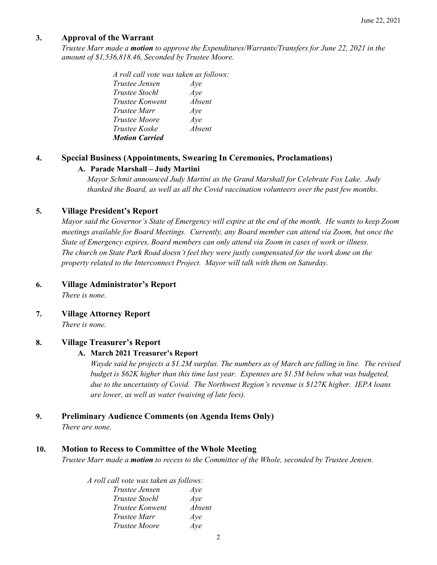# **3. Approval of the Warrant**

*Trustee Marr made a motion to approve the Expenditures/Warrants/Transfers for June 22, 2021 in the amount of \$1,536,818.46, Seconded by Trustee Moore.*

> *A roll call vote was taken as follows: Trustee Jensen Aye Trustee Stochl Aye Trustee Konwent Absent Trustee Marr Aye Trustee Moore Aye Trustee Koske Absent Motion Carried*

# **4. Special Business (Appointments, Swearing In Ceremonies, Proclamations)**

# **A. Parade Marshall – Judy Martini**

*Mayor Schmit announced Judy Martini as the Grand Marshall for Celebrate Fox Lake. Judy thanked the Board, as well as all the Covid vaccination volunteers over the past few months.* 

### **5. Village President's Report**

*Mayor said the Governor's State of Emergency will expire at the end of the month. He wants to keep Zoom meetings available for Board Meetings. Currently, any Board member can attend via Zoom, but once the State of Emergency expires, Board members can only attend via Zoom in cases of work or illness. The church on State Park Road doesn't feel they were justly compensated for the work done on the property related to the Interconnect Project. Mayor will talk with them on Saturday.* 

# **6. Village Administrator's Report**

*There is none.*

**7. Village Attorney Report** *There is none.*

# **8. Village Treasurer's Report**

#### **A. March 2021 Treasurer's Report**

*Wayde said he projects a \$1.2M surplus. The numbers as of March are falling in line. The revised budget is \$62K higher than this time last year. Expenses are \$1.5M below what was budgeted, due to the uncertainty of Covid. The Northwest Region's revenue is \$127K higher. IEPA loans are lower, as well as water (waiving of late fees).*

# **9. Preliminary Audience Comments (on Agenda Items Only)**

*There are none.* 

# **10. Motion to Recess to Committee of the Whole Meeting**

*Trustee Marr made a motion to recess to the Committee of the Whole, seconded by Trustee Jensen.* 

*A roll call vote was taken as follows: Trustee Jensen Aye Trustee Stochl Aye*

| Trusiee Stocht       | Aye    |
|----------------------|--------|
| Trustee Konwent      | Absent |
| Trustee Marr         | Aye    |
| <i>Trustee Moore</i> | Aye    |
|                      |        |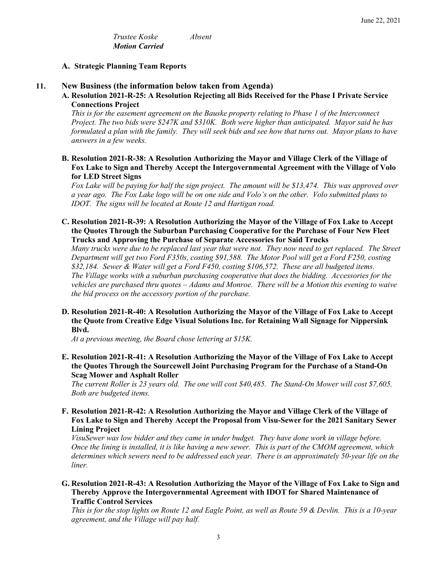*Trustee Koske Absent Motion Carried*

#### **A. Strategic Planning Team Reports**

### **11. New Business (the information below taken from Agenda)**

**A. Resolution 2021-R-25: A Resolution Rejecting all Bids Received for the Phase I Private Service Connections Project**

*This is for the easement agreement on the Bauske property relating to Phase 1 of the Interconnect Project. The two bids were \$247K and \$310K. Both were higher than anticipated. Mayor said he has formulated a plan with the family. They will seek bids and see how that turns out. Mayor plans to have answers in a few weeks.* 

**B. Resolution 2021-R-38: A Resolution Authorizing the Mayor and Village Clerk of the Village of Fox Lake to Sign and Thereby Accept the Intergovernmental Agreement with the Village of Volo for LED Street Signs**

*Fox Lake will be paying for half the sign project. The amount will be \$13,474. This was approved over a year ago. The Fox Lake logo will be on one side and Volo's on the other. Volo submitted plans to IDOT. The signs will be located at Route 12 and Hartigan road.* 

**C. Resolution 2021-R-39: A Resolution Authorizing the Mayor of the Village of Fox Lake to Accept the Quotes Through the Suburban Purchasing Cooperative for the Purchase of Four New Fleet Trucks and Approving the Purchase of Separate Accessories for Said Trucks**

*Many trucks were due to be replaced last year that were not. They now need to get replaced. The Street Department will get two Ford F350s, costing \$91,588. The Motor Pool will get a Ford F250, costing \$32,184. Sewer & Water will get a Ford F450, costing \$106,572. These are all budgeted items. The Village works with a suburban purchasing cooperative that does the bidding. Accessories for the vehicles are purchased thru quotes – Adams and Monroe. There will be a Motion this evening to waive the bid process on the accessory portion of the purchase.*

**D. Resolution 2021-R-40: A Resolution Authorizing the Mayor of the Village of Fox Lake to Accept the Quote from Creative Edge Visual Solutions Inc. for Retaining Wall Signage for Nippersink Blvd.**

*At a previous meeting, the Board chose lettering at \$15K.* 

**E. Resolution 2021-R-41: A Resolution Authorizing the Mayor of the Village of Fox Lake to Accept the Quotes Through the Sourcewell Joint Purchasing Program for the Purchase of a Stand-On Scag Mower and Asphalt Roller**

*The current Roller is 23 years old. The one will cost \$40,485. The Stand-On Mower will cost \$7,605. Both are budgeted items.* 

**F. Resolution 2021-R-42: A Resolution Authorizing the Mayor and Village Clerk of the Village of Fox Lake to Sign and Thereby Accept the Proposal from Visu-Sewer for the 2021 Sanitary Sewer Lining Project**

*VisuSewer was low bidder and they came in under budget. They have done work in village before. Once the lining is installed, it is like having a new sewer. This is part of the CMOM agreement, which determines which sewers need to be addressed each year. There is an approximately 50-year life on the liner.* 

**G. Resolution 2021-R-43: A Resolution Authorizing the Mayor of the Village of Fox Lake to Sign and Thereby Approve the Intergovernmental Agreement with IDOT for Shared Maintenance of Traffic Control Services**

*This is for the stop lights on Route 12 and Eagle Point, as well as Route 59 & Devlin. This is a 10-year agreement, and the Village will pay half.*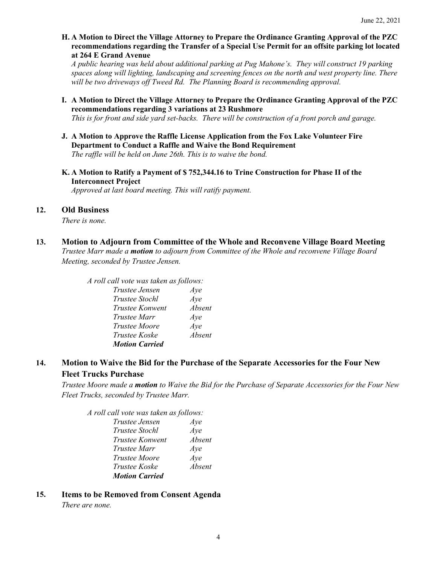**H. A Motion to Direct the Village Attorney to Prepare the Ordinance Granting Approval of the PZC recommendations regarding the Transfer of a Special Use Permit for an offsite parking lot located at 264 E Grand Avenue**

*A public hearing was held about additional parking at Pug Mahone's. They will construct 19 parking spaces along will lighting, landscaping and screening fences on the north and west property line. There will be two driveways off Tweed Rd. The Planning Board is recommending approval.* 

**I. A Motion to Direct the Village Attorney to Prepare the Ordinance Granting Approval of the PZC recommendations regarding 3 variations at 23 Rushmore**

*This is for front and side yard set-backs. There will be construction of a front porch and garage.* 

- **J. A Motion to Approve the Raffle License Application from the Fox Lake Volunteer Fire Department to Conduct a Raffle and Waive the Bond Requirement** *The raffle will be held on June 26th. This is to waive the bond.*
- **K. A Motion to Ratify a Payment of \$ 752,344.16 to Trine Construction for Phase II of the Interconnect Project**

*Approved at last board meeting. This will ratify payment.* 

#### **12. Old Business**

*There is none.*

**13. Motion to Adjourn from Committee of the Whole and Reconvene Village Board Meeting**

*Trustee Marr made a motion to adjourn from Committee of the Whole and reconvene Village Board Meeting, seconded by Trustee Jensen.* 

*A roll call vote was taken as follows:* 

| Trustee Jensen        | Aye    |
|-----------------------|--------|
| <i>Trustee Stochl</i> | Aye    |
| Trustee Konwent       | Absent |
| Trustee Marr          | Aye    |
| <i>Trustee Moore</i>  | Aye    |
| Trustee Koske         | Absent |
| <b>Motion Carried</b> |        |

# **14. Motion to Waive the Bid for the Purchase of the Separate Accessories for the Four New Fleet Trucks Purchase**

*Trustee Moore made a motion to Waive the Bid for the Purchase of Separate Accessories for the Four New Fleet Trucks, seconded by Trustee Marr.* 

*A roll call vote was taken as follows: Trustee Jensen Aye Trustee Stochl Aye Trustee Konwent Absent Trustee Marr Aye Trustee Moore Aye Trustee Koske Absent Motion Carried*

**15. Items to be Removed from Consent Agenda**  *There are none.*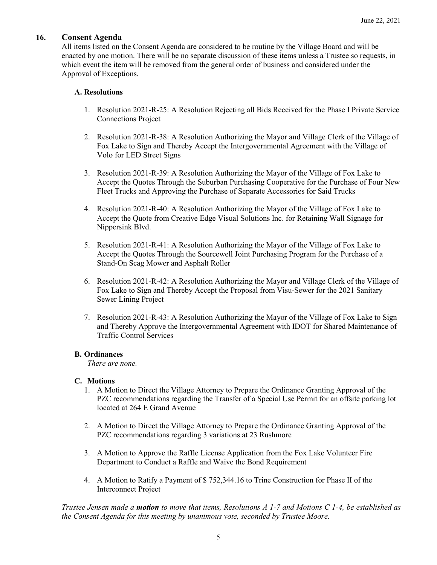# **16. Consent Agenda**

All items listed on the Consent Agenda are considered to be routine by the Village Board and will be enacted by one motion. There will be no separate discussion of these items unless a Trustee so requests, in which event the item will be removed from the general order of business and considered under the Approval of Exceptions.

# **A. Resolutions**

- 1. Resolution 2021-R-25: A Resolution Rejecting all Bids Received for the Phase I Private Service Connections Project
- 2. Resolution 2021-R-38: A Resolution Authorizing the Mayor and Village Clerk of the Village of Fox Lake to Sign and Thereby Accept the Intergovernmental Agreement with the Village of Volo for LED Street Signs
- 3. Resolution 2021-R-39: A Resolution Authorizing the Mayor of the Village of Fox Lake to Accept the Quotes Through the Suburban Purchasing Cooperative for the Purchase of Four New Fleet Trucks and Approving the Purchase of Separate Accessories for Said Trucks
- 4. Resolution 2021-R-40: A Resolution Authorizing the Mayor of the Village of Fox Lake to Accept the Quote from Creative Edge Visual Solutions Inc. for Retaining Wall Signage for Nippersink Blvd.
- 5. Resolution 2021-R-41: A Resolution Authorizing the Mayor of the Village of Fox Lake to Accept the Quotes Through the Sourcewell Joint Purchasing Program for the Purchase of a Stand-On Scag Mower and Asphalt Roller
- 6. Resolution 2021-R-42: A Resolution Authorizing the Mayor and Village Clerk of the Village of Fox Lake to Sign and Thereby Accept the Proposal from Visu-Sewer for the 2021 Sanitary Sewer Lining Project
- 7. Resolution 2021-R-43: A Resolution Authorizing the Mayor of the Village of Fox Lake to Sign and Thereby Approve the Intergovernmental Agreement with IDOT for Shared Maintenance of Traffic Control Services

# **B. Ordinances**

*There are none.*

# **C. Motions**

- 1. A Motion to Direct the Village Attorney to Prepare the Ordinance Granting Approval of the PZC recommendations regarding the Transfer of a Special Use Permit for an offsite parking lot located at 264 E Grand Avenue
- 2. A Motion to Direct the Village Attorney to Prepare the Ordinance Granting Approval of the PZC recommendations regarding 3 variations at 23 Rushmore
- 3. A Motion to Approve the Raffle License Application from the Fox Lake Volunteer Fire Department to Conduct a Raffle and Waive the Bond Requirement
- 4. A Motion to Ratify a Payment of \$ 752,344.16 to Trine Construction for Phase II of the Interconnect Project

*Trustee Jensen made a motion to move that items, Resolutions A 1-7 and Motions C 1-4, be established as the Consent Agenda for this meeting by unanimous vote, seconded by Trustee Moore.*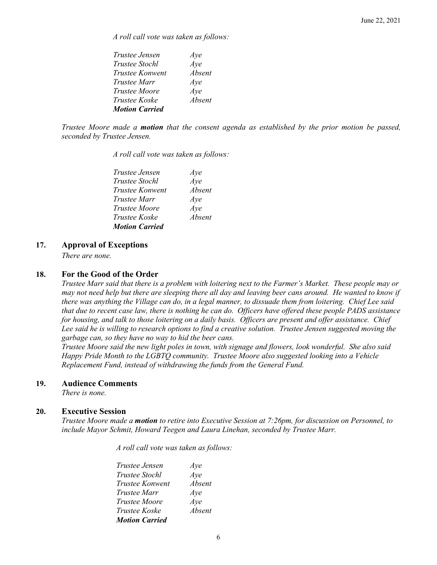*A roll call vote was taken as follows:* 

| <i>Trustee Jensen</i> | Aye           |
|-----------------------|---------------|
| <i>Trustee Stochl</i> | Aye           |
| Trustee Konwent       | <i>Absent</i> |
| Trustee Marr          | Aye           |
| <i>Trustee Moore</i>  | Aye           |
| <i>Trustee Koske</i>  | Absent        |
| <b>Motion Carried</b> |               |

*Trustee Moore made a motion that the consent agenda as established by the prior motion be passed, seconded by Trustee Jensen.*

*A roll call vote was taken as follows:* 

| Trustee Jensen         | Aye    |
|------------------------|--------|
| <i>Trustee Stochl</i>  | Aye    |
| <i>Trustee Konwent</i> | Absent |
| Trustee Marr           | Aye    |
| <i>Trustee Moore</i>   | Aye    |
| Trustee Koske          | Absent |
| <b>Motion Carried</b>  |        |

# **17. Approval of Exceptions**

*There are none.* 

# **18. For the Good of the Order**

*Trustee Marr said that there is a problem with loitering next to the Farmer's Market. These people may or may not need help but there are sleeping there all day and leaving beer cans around. He wanted to know if there was anything the Village can do, in a legal manner, to dissuade them from loitering. Chief Lee said that due to recent case law, there is nothing he can do. Officers have offered these people PADS assistance for housing, and talk to those loitering on a daily basis. Officers are present and offer assistance. Chief Lee said he is willing to research options to find a creative solution. Trustee Jensen suggested moving the garbage can, so they have no way to hid the beer cans.* 

*Trustee Moore said the new light poles in town, with signage and flowers, look wonderful. She also said Happy Pride Month to the LGBTQ community. Trustee Moore also suggested looking into a Vehicle Replacement Fund, instead of withdrawing the funds from the General Fund.* 

# **19. Audience Comments**

*There is none.*

# **20. Executive Session**

*Trustee Moore made a motion to retire into Executive Session at 7:26pm, for discussion on Personnel, to include Mayor Schmit, Howard Teegen and Laura Linehan, seconded by Trustee Marr.*

*A roll call vote was taken as follows:* 

| Trustee Jensen         | Aye    |
|------------------------|--------|
| Trustee Stochl         | Aye    |
| <b>Trustee Konwent</b> | Absent |
| <i>Trustee Marr</i>    | Aye    |
| <i>Trustee Moore</i>   | Aye    |
| Trustee Koske          | Absent |
| <b>Motion Carried</b>  |        |